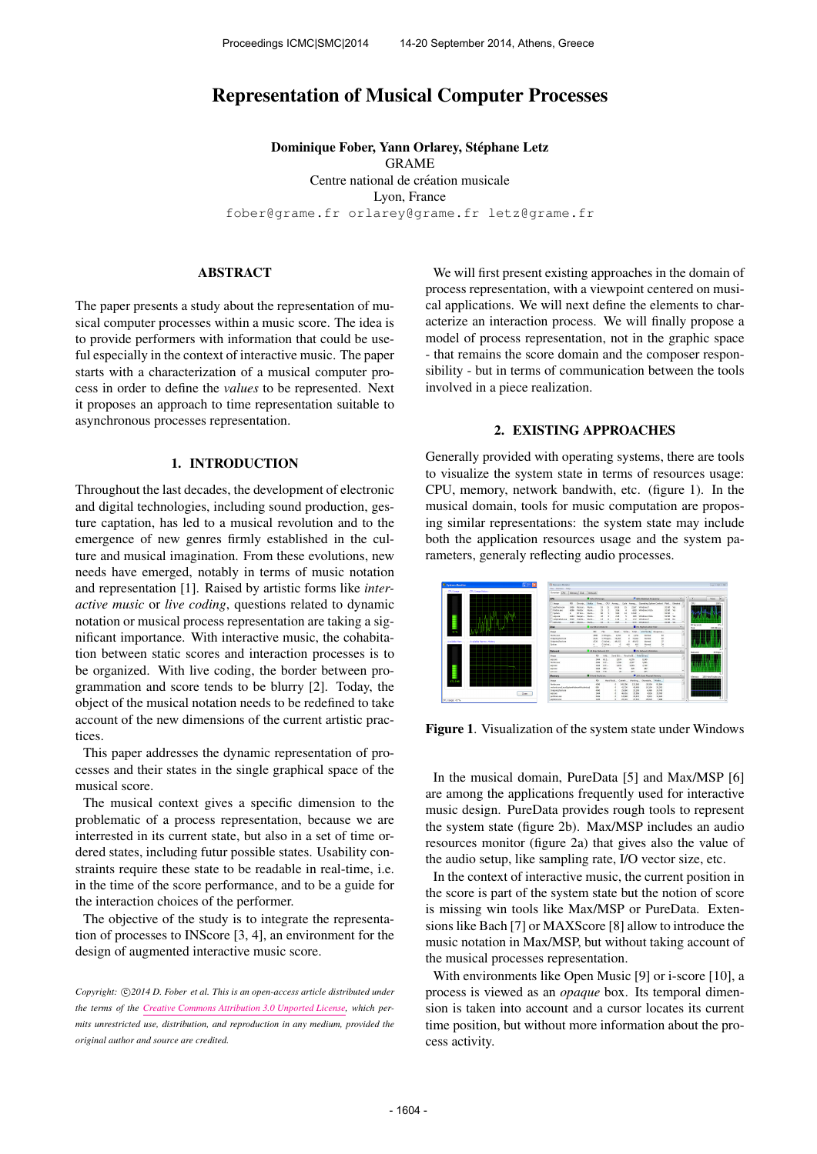# Representation of Musical Computer Processes

Dominique Fober, Yann Orlarey, Stéphane Letz GRAME Centre national de création musicale Lyon, France [fober@grame.fr](mailto:fober@grame.fr) [orlarey@grame.fr](mailto:orlarey@grame.fr) [letz@grame.fr](mailto:letz@grame.fr)

#### ABSTRACT

The paper presents a study about the representation of musical computer processes within a music score. The idea is to provide performers with information that could be useful especially in the context of interactive music. The paper starts with a characterization of a musical computer process in order to define the *values* to be represented. Next it proposes an approach to time representation suitable to asynchronous processes representation.

### 1. INTRODUCTION

Throughout the last decades, the development of electronic and digital technologies, including sound production, gesture captation, has led to a musical revolution and to the emergence of new genres firmly established in the culture and musical imagination. From these evolutions, new needs have emerged, notably in terms of music notation and representation [1]. Raised by artistic forms like *interactive music* or *live coding*, questions related to dynamic notation or musical process representation are taking a significant importance. With interactive music, the cohabitation between static scores and interaction processes is to be organized. With live coding, the border between programmation and score tends to be blurry [2]. Today, the object of the musical notation needs to be redefined to take account of the new dimensions of the current artistic practices.

This paper addresses the dynamic representation of processes and their states in the single graphical space of the musical score.

The musical context gives a specific dimension to the problematic of a process representation, because we are interrested in its current state, but also in a set of time ordered states, including futur possible states. Usability constraints require these state to be readable in real-time, i.e. in the time of the score performance, and to be a guide for the interaction choices of the performer.

The objective of the study is to integrate the representation of processes to INScore [3, 4], an environment for the design of augmented interactive music score.

Copyright:  $\bigcirc$ 2014 D. Fober et al. This is an open-access article distributed under *the terms of the [Creative Commons Attribution 3.0 Unported License,](http://creativecommons.org/licenses/by/3.0/) which permits unrestricted use, distribution, and reproduction in any medium, provided the original author and source are credited.*

We will first present existing approaches in the domain of process representation, with a viewpoint centered on musical applications. We will next define the elements to characterize an interaction process. We will finally propose a model of process representation, not in the graphic space - that remains the score domain and the composer responsibility - but in terms of communication between the tools involved in a piece realization.

#### 2. EXISTING APPROACHES

Generally provided with operating systems, there are tools to visualize the system state in terms of resources usage: CPU, memory, network bandwith, etc. (figure 1). In the musical domain, tools for music computation are proposing similar representations: the system state may include both the application resources usage and the system parameters, generaly reflecting audio processes.



Figure 1. Visualization of the system state under Windows

In the musical domain, PureData [5] and Max/MSP [6] are among the applications frequently used for interactive music design. PureData provides rough tools to represent the system state (figure 2b). Max/MSP includes an audio resources monitor (figure 2a) that gives also the value of the audio setup, like sampling rate, I/O vector size, etc.

In the context of interactive music, the current position in the score is part of the system state but the notion of score is missing win tools like Max/MSP or PureData. Extensions like Bach [7] or MAXScore [8] allow to introduce the music notation in Max/MSP, but without taking account of the musical processes representation.

With environments like Open Music [9] or i-score [10], a process is viewed as an *opaque* box. Its temporal dimension is taken into account and a cursor locates its current time position, but without more information about the process activity.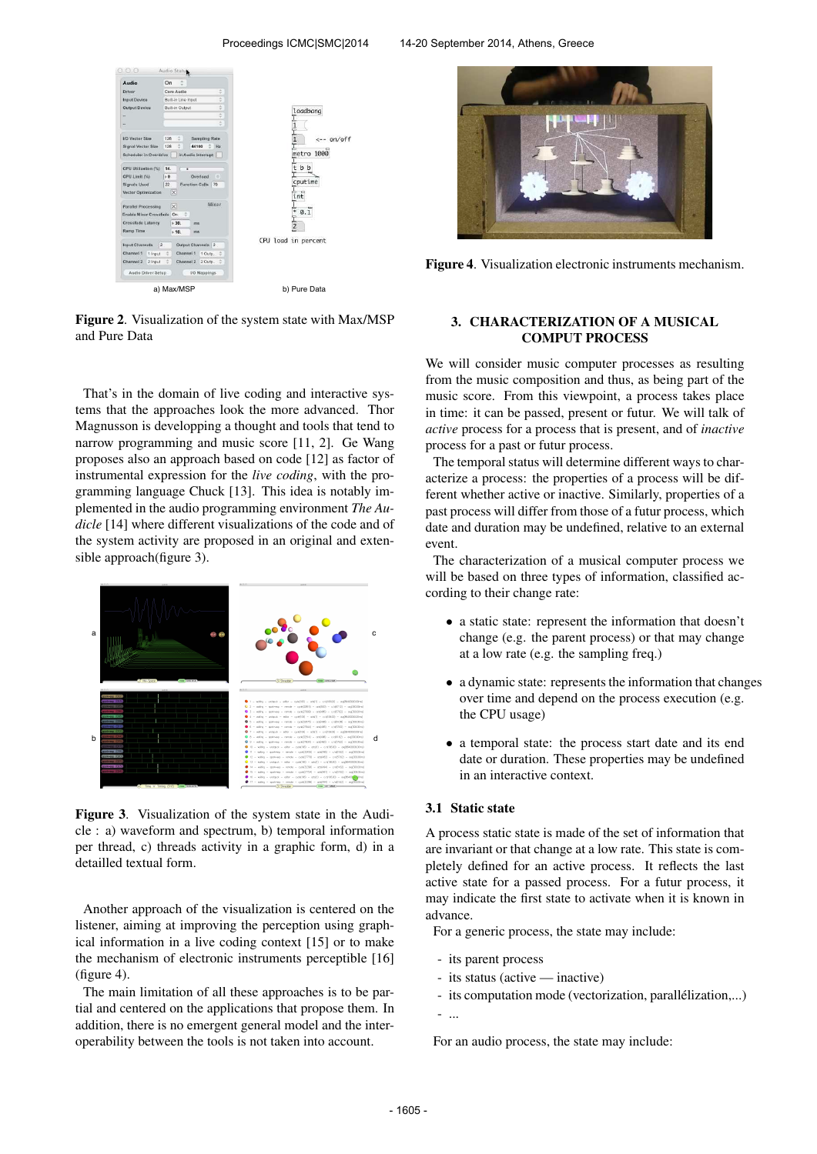

Figure 2. Visualization of the system state with Max/MSP and Pure Data

That's in the domain of live coding and interactive systems that the approaches look the more advanced. Thor Magnusson is developping a thought and tools that tend to narrow programming and music score [11, 2]. Ge Wang proposes also an approach based on code [12] as factor of instrumental expression for the *live coding*, with the programming language Chuck [13]. This idea is notably implemented in the audio programming environment *The Audicle* [14] where different visualizations of the code and of the system activity are proposed in an original and extensible approach(figure 3).



Figure 3. Visualization of the system state in the Audicle : a) waveform and spectrum, b) temporal information per thread, c) threads activity in a graphic form, d) in a detailled textual form.

Another approach of the visualization is centered on the listener, aiming at improving the perception using graphical information in a live coding context [15] or to make the mechanism of electronic instruments perceptible [16] (figure 4).

The main limitation of all these approaches is to be partial and centered on the applications that propose them. In addition, there is no emergent general model and the interoperability between the tools is not taken into account.



Figure 4. Visualization electronic instruments mechanism.

### 3. CHARACTERIZATION OF A MUSICAL COMPUT PROCESS

We will consider music computer processes as resulting from the music composition and thus, as being part of the music score. From this viewpoint, a process takes place in time: it can be passed, present or futur. We will talk of *active* process for a process that is present, and of *inactive* process for a past or futur process.

The temporal status will determine different ways to characterize a process: the properties of a process will be different whether active or inactive. Similarly, properties of a past process will differ from those of a futur process, which date and duration may be undefined, relative to an external event.

The characterization of a musical computer process we will be based on three types of information, classified according to their change rate:

- a static state: represent the information that doesn't change (e.g. the parent process) or that may change at a low rate (e.g. the sampling freq.)
- a dynamic state: represents the information that changes over time and depend on the process execution (e.g. the CPU usage)
- a temporal state: the process start date and its end date or duration. These properties may be undefined in an interactive context.

### 3.1 Static state

A process static state is made of the set of information that are invariant or that change at a low rate. This state is completely defined for an active process. It reflects the last active state for a passed process. For a futur process, it may indicate the first state to activate when it is known in advance.

For a generic process, the state may include:

- its parent process
- its status (active inactive)
- its computation mode (vectorization, parallélization,...)

- ...

For an audio process, the state may include: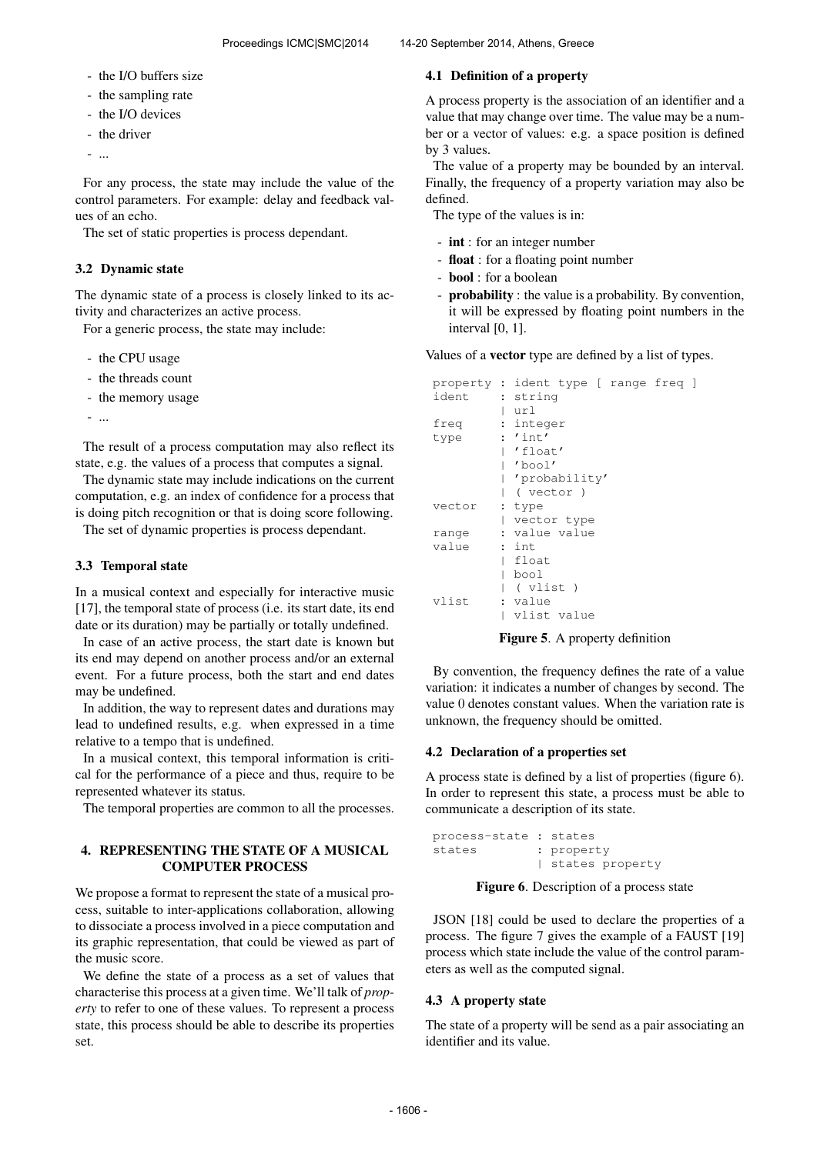- the I/O buffers size
- the sampling rate
- the I/O devices
- the driver
- ...

For any process, the state may include the value of the control parameters. For example: delay and feedback values of an echo.

The set of static properties is process dependant.

# 3.2 Dynamic state

The dynamic state of a process is closely linked to its activity and characterizes an active process.

For a generic process, the state may include:

- the CPU usage
- the threads count
- the memory usage
- ...

The result of a process computation may also reflect its state, e.g. the values of a process that computes a signal.

The dynamic state may include indications on the current computation, e.g. an index of confidence for a process that is doing pitch recognition or that is doing score following.

The set of dynamic properties is process dependant.

# 3.3 Temporal state

In a musical context and especially for interactive music [17], the temporal state of process (i.e. its start date, its end date or its duration) may be partially or totally undefined.

In case of an active process, the start date is known but its end may depend on another process and/or an external event. For a future process, both the start and end dates may be undefined.

In addition, the way to represent dates and durations may lead to undefined results, e.g. when expressed in a time relative to a tempo that is undefined.

In a musical context, this temporal information is critical for the performance of a piece and thus, require to be represented whatever its status.

The temporal properties are common to all the processes.

# 4. REPRESENTING THE STATE OF A MUSICAL COMPUTER PROCESS

We propose a format to represent the state of a musical process, suitable to inter-applications collaboration, allowing to dissociate a process involved in a piece computation and its graphic representation, that could be viewed as part of the music score.

We define the state of a process as a set of values that characterise this process at a given time. We'll talk of *property* to refer to one of these values. To represent a process state, this process should be able to describe its properties set.

# 4.1 Definition of a property

A process property is the association of an identifier and a value that may change over time. The value may be a number or a vector of values: e.g. a space position is defined by 3 values.

The value of a property may be bounded by an interval. Finally, the frequency of a property variation may also be defined.

The type of the values is in:

- int : for an integer number
- float : for a floating point number
- bool : for a boolean
- probability : the value is a probability. By convention, it will be expressed by floating point numbers in the interval [0, 1].

Values of a vector type are defined by a list of types.

|        | property: ident type [ range freq ] |
|--------|-------------------------------------|
| ident  | : string                            |
|        | url                                 |
| freq   | : integer                           |
| type   | : 'int'                             |
|        | 'float'                             |
|        | 'bool'                              |
|        | 'probability'                       |
|        | ( vector )                          |
| vector | : type                              |
|        | vector type                         |
| range  | : value value                       |
| value  | : int                               |
|        | float                               |
|        | bool                                |
|        | ( vlist )                           |
| vlist  | : value                             |
|        | vlist value                         |

Figure 5. A property definition

By convention, the frequency defines the rate of a value variation: it indicates a number of changes by second. The value 0 denotes constant values. When the variation rate is unknown, the frequency should be omitted.

## 4.2 Declaration of a properties set

A process state is defined by a list of properties (figure 6). In order to represent this state, a process must be able to communicate a description of its state.

```
process-state : states
states : property
             | states property
```
Figure 6. Description of a process state

JSON [18] could be used to declare the properties of a process. The figure 7 gives the example of a FAUST [19] process which state include the value of the control parameters as well as the computed signal.

## 4.3 A property state

The state of a property will be send as a pair associating an identifier and its value.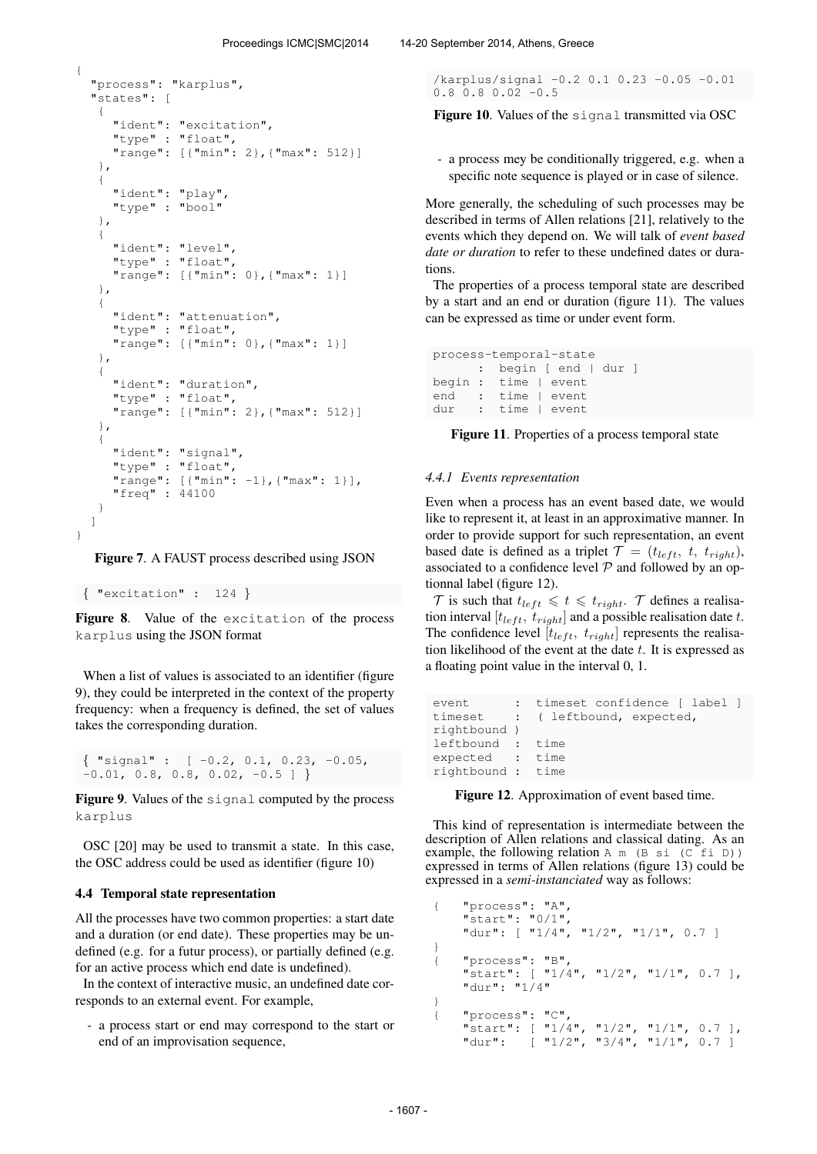```
{
  "process": "karplus",
  "states": [
   {
     "ident": "excitation",
     "type" : "float",
     "range": [{"min": 2},{"max": 512}]
   },
   {
     "ident": "play",
     "type" : "bool"
   },
   {
     "ident": "level",
     "type" : "float",
     "range": [{"min": 0},{"max": 1}]
   },
   {
     "ident": "attenuation",
     "type" : "float",
     "range": [{"min": 0},{"max": 1}]
   },
   {
     "ident": "duration",
     "type" : "float",
     "range": [{"min": 2},{"max": 512}]
   },
   {
     "ident": "signal",
     "type" : "float",
     "range": [{"min": -1},{"max": 1}],
     "freq" : 44100
   }
 ]
}
```
Figure 7. A FAUST process described using JSON

```
{ "excitation" : 124 }
```
Figure 8. Value of the excitation of the process karplus using the JSON format

When a list of values is associated to an identifier (figure 9), they could be interpreted in the context of the property frequency: when a frequency is defined, the set of values takes the corresponding duration.

 $\{$  "signal" :  $[-0.2, 0.1, 0.23, -0.05,$  $-0.01$ , 0.8, 0.8, 0.02,  $-0.5$  ] }

Figure 9. Values of the signal computed by the process karplus

OSC [20] may be used to transmit a state. In this case, the OSC address could be used as identifier (figure 10)

#### 4.4 Temporal state representation

All the processes have two common properties: a start date and a duration (or end date). These properties may be undefined (e.g. for a futur process), or partially defined (e.g. for an active process which end date is undefined).

In the context of interactive music, an undefined date corresponds to an external event. For example,

- a process start or end may correspond to the start or end of an improvisation sequence,

```
/karplus/signal -0.2 0.1 0.23 -0.05 -0.01
0.8 0.8 0.02 -0.5
```
Figure 10. Values of the signal transmitted via OSC

- a process mey be conditionally triggered, e.g. when a specific note sequence is played or in case of silence.

More generally, the scheduling of such processes may be described in terms of Allen relations [21], relatively to the events which they depend on. We will talk of *event based date or duration* to refer to these undefined dates or durations.

The properties of a process temporal state are described by a start and an end or duration (figure 11). The values can be expressed as time or under event form.

```
process-temporal-state
     : begin [ end | dur ]
begin : time | event
end : time I event
dur : time | event
```
Figure 11. Properties of a process temporal state

### *4.4.1 Events representation*

Even when a process has an event based date, we would like to represent it, at least in an approximative manner. In order to provide support for such representation, an event based date is defined as a triplet  $\mathcal{T} = (t_{left}, t, t_{right}),$ associated to a confidence level  $P$  and followed by an optionnal label (figure 12).

 $\mathcal T$  is such that  $t_{left} \leq t \leq t_{right}$ .  $\mathcal T$  defines a realisation interval [ $t_{left}$ ,  $t_{right}$ ] and a possible realisation date t. The confidence level  $[t_{left}, t_{right}]$  represents the realisation likelihood of the event at the date  $t$ . It is expressed as a floating point value in the interval 0, 1.

```
event : timeset confidence [ label ]
timeset : ( leftbound, expected,
rightbound )
leftbound : time
expected : time
rightbound : time
```
Figure 12. Approximation of event based time.

This kind of representation is intermediate between the description of Allen relations and classical dating. As an example, the following relation  $A \cap (B \mid S)$  (C fi D)) expressed in terms of Allen relations (figure 13) could be expressed in a *semi-instanciated* way as follows:

```
{ "process": "A",
    "start": "0/1",
    "dur": [ "1/4", "1/2", "1/1", 0.7 ]
}
{ "process": "B",
    "start": [ "1/4", "1/2", "1/1", 0.7 ],
    "dur": "1/4"
}
{ "process": "C",
    "start": [ "1/4", "1/2", "1/1", 0.7 ],<br>"dur": [ "1/2", "3/4", "1/1", 0.7 ]
               [ "1/2", "3/4", "1/1", 0.7 ]
```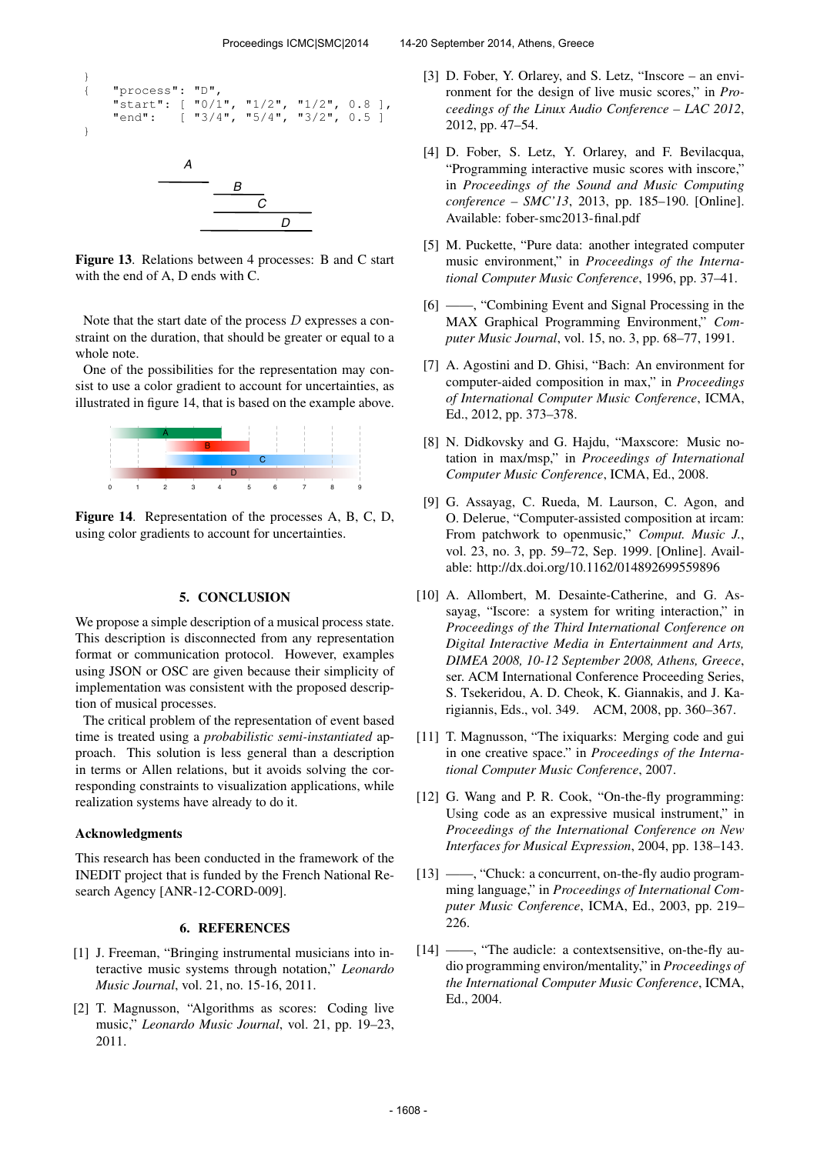```
}
{ "process": "D",<br>"start": [ "0/1",
      "start": [10/1", 1/2", 1/2", 0.8],<br>"end": [13/4", 15/4", 13/2", 0.5]"end": [ "3/4", "5/4", "3/2", 0.5 ]
}
                    A
                               B
                                    C
                                         D
```
Figure 13. Relations between 4 processes: B and C start with the end of A, D ends with C.

Note that the start date of the process D expresses a constraint on the duration, that should be greater or equal to a whole note.

One of the possibilities for the representation may consist to use a color gradient to account for uncertainties, as illustrated in figure 14, that is based on the example above.



Figure 14. Representation of the processes A, B, C, D, using color gradients to account for uncertainties.

#### 5. CONCLUSION

We propose a simple description of a musical process state. This description is disconnected from any representation format or communication protocol. However, examples using JSON or OSC are given because their simplicity of implementation was consistent with the proposed description of musical processes.

The critical problem of the representation of event based time is treated using a *probabilistic semi-instantiated* approach. This solution is less general than a description in terms or Allen relations, but it avoids solving the corresponding constraints to visualization applications, while realization systems have already to do it.

#### Acknowledgments

This research has been conducted in the framework of the INEDIT project that is funded by the French National Research Agency [ANR-12-CORD-009].

#### 6. REFERENCES

- [1] J. Freeman, "Bringing instrumental musicians into interactive music systems through notation," *Leonardo Music Journal*, vol. 21, no. 15-16, 2011.
- [2] T. Magnusson, "Algorithms as scores: Coding live music," *Leonardo Music Journal*, vol. 21, pp. 19–23, 2011.
- [3] D. Fober, Y. Orlarey, and S. Letz, "Inscore an environment for the design of live music scores," in *Proceedings of the Linux Audio Conference – LAC 2012*, 2012, pp. 47–54.
- [4] D. Fober, S. Letz, Y. Orlarey, and F. Bevilacqua, "Programming interactive music scores with inscore," in *Proceedings of the Sound and Music Computing conference – SMC'13*, 2013, pp. 185–190. [Online]. Available:<fober-smc2013-final.pdf>
- [5] M. Puckette, "Pure data: another integrated computer music environment," in *Proceedings of the International Computer Music Conference*, 1996, pp. 37–41.
- [6] ——, "Combining Event and Signal Processing in the MAX Graphical Programming Environment," *Computer Music Journal*, vol. 15, no. 3, pp. 68–77, 1991.
- [7] A. Agostini and D. Ghisi, "Bach: An environment for computer-aided composition in max," in *Proceedings of International Computer Music Conference*, ICMA, Ed., 2012, pp. 373–378.
- [8] N. Didkovsky and G. Hajdu, "Maxscore: Music notation in max/msp," in *Proceedings of International Computer Music Conference*, ICMA, Ed., 2008.
- [9] G. Assayag, C. Rueda, M. Laurson, C. Agon, and O. Delerue, "Computer-assisted composition at ircam: From patchwork to openmusic," *Comput. Music J.*, vol. 23, no. 3, pp. 59–72, Sep. 1999. [Online]. Available:<http://dx.doi.org/10.1162/014892699559896>
- [10] A. Allombert, M. Desainte-Catherine, and G. Assayag, "Iscore: a system for writing interaction," in *Proceedings of the Third International Conference on Digital Interactive Media in Entertainment and Arts, DIMEA 2008, 10-12 September 2008, Athens, Greece*, ser. ACM International Conference Proceeding Series, S. Tsekeridou, A. D. Cheok, K. Giannakis, and J. Karigiannis, Eds., vol. 349. ACM, 2008, pp. 360–367.
- [11] T. Magnusson, "The ixiquarks: Merging code and gui in one creative space." in *Proceedings of the International Computer Music Conference*, 2007.
- [12] G. Wang and P. R. Cook, "On-the-fly programming: Using code as an expressive musical instrument," in *Proceedings of the International Conference on New Interfaces for Musical Expression*, 2004, pp. 138–143.
- [13] ——, "Chuck: a concurrent, on-the-fly audio programming language," in *Proceedings of International Computer Music Conference*, ICMA, Ed., 2003, pp. 219– 226.
- [14] ——, "The audicle: a contextsensitive, on-the-fly audio programming environ/mentality," in *Proceedings of the International Computer Music Conference*, ICMA, Ed., 2004.